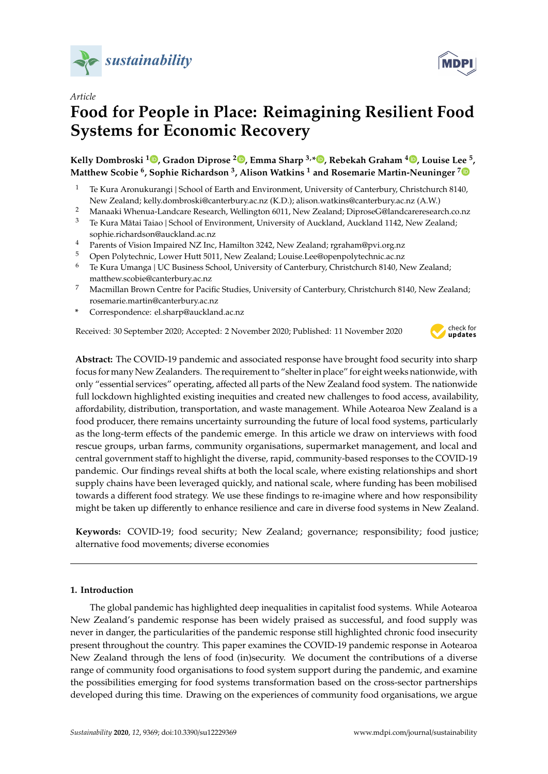

*Article*

# **Food for People in Place: Reimagining Resilient Food Systems for Economic Recovery**

**Kelly Dombroski <sup>1</sup> [,](https://orcid.org/0000-0003-2975-962X) Gradon Diprose <sup>2</sup> [,](https://orcid.org/0000-0001-5394-9410) Emma Sharp 3,[\\*](https://orcid.org/0000-0002-4052-6918) , Rebekah Graham <sup>4</sup> [,](https://orcid.org/0000-0002-6576-4023) Louise Lee <sup>5</sup> , Matthew Scobie <sup>6</sup> , Sophie Richardson <sup>3</sup> , Alison Watkins <sup>1</sup> and Rosemarie Martin-Neuninger [7](https://orcid.org/0000-0003-1326-5289)**

- <sup>1</sup> Te Kura Aronukurangi | School of Earth and Environment, University of Canterbury, Christchurch 8140, New Zealand; kelly.dombroski@canterbury.ac.nz (K.D.); alison.watkins@canterbury.ac.nz (A.W.)
- <sup>2</sup> Manaaki Whenua-Landcare Research, Wellington 6011, New Zealand; DiproseG@landcareresearch.co.nz
- <sup>3</sup> Te Kura Mātai Taiao | School of Environment, University of Auckland, Auckland 1142, New Zealand; sophie.richardson@auckland.ac.nz
- <sup>4</sup> Parents of Vision Impaired NZ Inc, Hamilton 3242, New Zealand; rgraham@pvi.org.nz
- <sup>5</sup> Open Polytechnic, Lower Hutt 5011, New Zealand; Louise.Lee@openpolytechnic.ac.nz
- <sup>6</sup> Te Kura Umanga | UC Business School, University of Canterbury, Christchurch 8140, New Zealand; matthew.scobie@canterbury.ac.nz
- <sup>7</sup> Macmillan Brown Centre for Pacific Studies, University of Canterbury, Christchurch 8140, New Zealand; rosemarie.martin@canterbury.ac.nz
- **\*** Correspondence: el.sharp@auckland.ac.nz

Received: 30 September 2020; Accepted: 2 November 2020; Published: 11 November 2020



**Abstract:** The COVID-19 pandemic and associated response have brought food security into sharp focus for many New Zealanders. The requirement to "shelter in place" for eight weeks nationwide, with only "essential services" operating, affected all parts of the New Zealand food system. The nationwide full lockdown highlighted existing inequities and created new challenges to food access, availability, affordability, distribution, transportation, and waste management. While Aotearoa New Zealand is a food producer, there remains uncertainty surrounding the future of local food systems, particularly as the long-term effects of the pandemic emerge. In this article we draw on interviews with food rescue groups, urban farms, community organisations, supermarket management, and local and central government staff to highlight the diverse, rapid, community-based responses to the COVID-19 pandemic. Our findings reveal shifts at both the local scale, where existing relationships and short supply chains have been leveraged quickly, and national scale, where funding has been mobilised towards a different food strategy. We use these findings to re-imagine where and how responsibility might be taken up differently to enhance resilience and care in diverse food systems in New Zealand.

**Keywords:** COVID-19; food security; New Zealand; governance; responsibility; food justice; alternative food movements; diverse economies

### **1. Introduction**

The global pandemic has highlighted deep inequalities in capitalist food systems. While Aotearoa New Zealand's pandemic response has been widely praised as successful, and food supply was never in danger, the particularities of the pandemic response still highlighted chronic food insecurity present throughout the country. This paper examines the COVID-19 pandemic response in Aotearoa New Zealand through the lens of food (in)security. We document the contributions of a diverse range of community food organisations to food system support during the pandemic, and examine the possibilities emerging for food systems transformation based on the cross-sector partnerships developed during this time. Drawing on the experiences of community food organisations, we argue

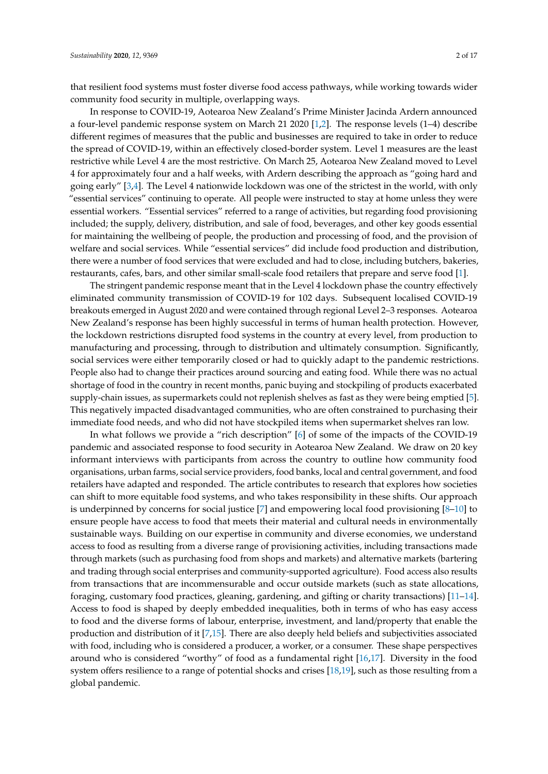that resilient food systems must foster diverse food access pathways, while working towards wider community food security in multiple, overlapping ways.

In response to COVID-19, Aotearoa New Zealand's Prime Minister Jacinda Ardern announced a four-level pandemic response system on March 21 2020 [\[1](#page-14-0)[,2\]](#page-14-1). The response levels (1–4) describe different regimes of measures that the public and businesses are required to take in order to reduce the spread of COVID-19, within an effectively closed-border system. Level 1 measures are the least restrictive while Level 4 are the most restrictive. On March 25, Aotearoa New Zealand moved to Level 4 for approximately four and a half weeks, with Ardern describing the approach as "going hard and going early" [\[3,](#page-14-2)[4\]](#page-14-3). The Level 4 nationwide lockdown was one of the strictest in the world, with only "essential services" continuing to operate. All people were instructed to stay at home unless they were essential workers. "Essential services" referred to a range of activities, but regarding food provisioning included; the supply, delivery, distribution, and sale of food, beverages, and other key goods essential for maintaining the wellbeing of people, the production and processing of food, and the provision of welfare and social services. While "essential services" did include food production and distribution, there were a number of food services that were excluded and had to close, including butchers, bakeries, restaurants, cafes, bars, and other similar small-scale food retailers that prepare and serve food [\[1\]](#page-14-0).

The stringent pandemic response meant that in the Level 4 lockdown phase the country effectively eliminated community transmission of COVID-19 for 102 days. Subsequent localised COVID-19 breakouts emerged in August 2020 and were contained through regional Level 2–3 responses. Aotearoa New Zealand's response has been highly successful in terms of human health protection. However, the lockdown restrictions disrupted food systems in the country at every level, from production to manufacturing and processing, through to distribution and ultimately consumption. Significantly, social services were either temporarily closed or had to quickly adapt to the pandemic restrictions. People also had to change their practices around sourcing and eating food. While there was no actual shortage of food in the country in recent months, panic buying and stockpiling of products exacerbated supply-chain issues, as supermarkets could not replenish shelves as fast as they were being emptied [\[5\]](#page-14-4). This negatively impacted disadvantaged communities, who are often constrained to purchasing their immediate food needs, and who did not have stockpiled items when supermarket shelves ran low.

In what follows we provide a "rich description" [\[6\]](#page-14-5) of some of the impacts of the COVID-19 pandemic and associated response to food security in Aotearoa New Zealand. We draw on 20 key informant interviews with participants from across the country to outline how community food organisations, urban farms, social service providers, food banks, local and central government, and food retailers have adapted and responded. The article contributes to research that explores how societies can shift to more equitable food systems, and who takes responsibility in these shifts. Our approach is underpinned by concerns for social justice [\[7\]](#page-14-6) and empowering local food provisioning  $[8-10]$  $[8-10]$  to ensure people have access to food that meets their material and cultural needs in environmentally sustainable ways. Building on our expertise in community and diverse economies, we understand access to food as resulting from a diverse range of provisioning activities, including transactions made through markets (such as purchasing food from shops and markets) and alternative markets (bartering and trading through social enterprises and community-supported agriculture). Food access also results from transactions that are incommensurable and occur outside markets (such as state allocations, foraging, customary food practices, gleaning, gardening, and gifting or charity transactions) [\[11–](#page-14-9)[14\]](#page-14-10). Access to food is shaped by deeply embedded inequalities, both in terms of who has easy access to food and the diverse forms of labour, enterprise, investment, and land/property that enable the production and distribution of it [\[7](#page-14-6)[,15\]](#page-14-11). There are also deeply held beliefs and subjectivities associated with food, including who is considered a producer, a worker, or a consumer. These shape perspectives around who is considered "worthy" of food as a fundamental right [\[16,](#page-14-12)[17\]](#page-14-13). Diversity in the food system offers resilience to a range of potential shocks and crises [\[18](#page-14-14)[,19\]](#page-14-15), such as those resulting from a global pandemic.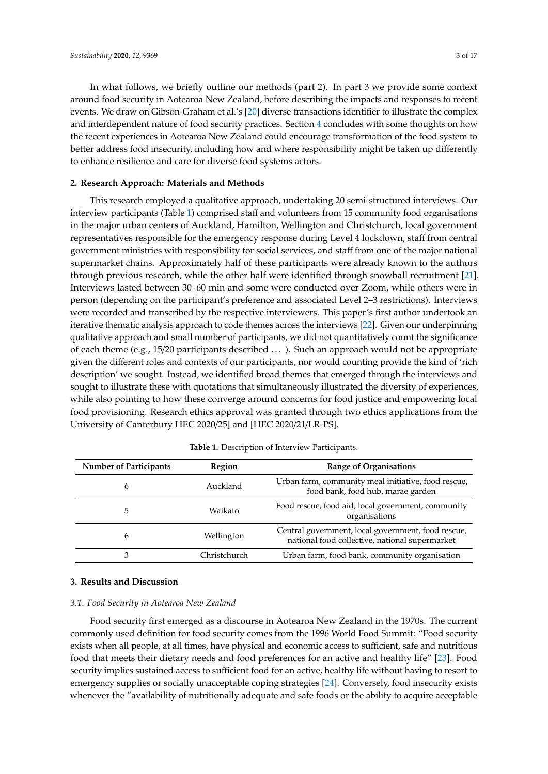In what follows, we briefly outline our methods (part 2). In part 3 we provide some context around food security in Aotearoa New Zealand, before describing the impacts and responses to recent events. We draw on Gibson-Graham et al.'s [\[20\]](#page-15-0) diverse transactions identifier to illustrate the complex and interdependent nature of food security practices. Section [4](#page-12-0) concludes with some thoughts on how the recent experiences in Aotearoa New Zealand could encourage transformation of the food system to better address food insecurity, including how and where responsibility might be taken up differently to enhance resilience and care for diverse food systems actors.

#### **2. Research Approach: Materials and Methods**

This research employed a qualitative approach, undertaking 20 semi-structured interviews. Our interview participants (Table [1\)](#page-2-0) comprised staff and volunteers from 15 community food organisations in the major urban centers of Auckland, Hamilton, Wellington and Christchurch, local government representatives responsible for the emergency response during Level 4 lockdown, staff from central government ministries with responsibility for social services, and staff from one of the major national supermarket chains. Approximately half of these participants were already known to the authors through previous research, while the other half were identified through snowball recruitment [\[21\]](#page-15-1). Interviews lasted between 30–60 min and some were conducted over Zoom, while others were in person (depending on the participant's preference and associated Level 2–3 restrictions). Interviews were recorded and transcribed by the respective interviewers. This paper's first author undertook an iterative thematic analysis approach to code themes across the interviews [\[22\]](#page-15-2). Given our underpinning qualitative approach and small number of participants, we did not quantitatively count the significance of each theme (e.g., 15/20 participants described . . . ). Such an approach would not be appropriate given the different roles and contexts of our participants, nor would counting provide the kind of 'rich description' we sought. Instead, we identified broad themes that emerged through the interviews and sought to illustrate these with quotations that simultaneously illustrated the diversity of experiences, while also pointing to how these converge around concerns for food justice and empowering local food provisioning. Research ethics approval was granted through two ethics applications from the University of Canterbury HEC 2020/25] and [HEC 2020/21/LR-PS].

<span id="page-2-0"></span>

| <b>Number of Participants</b> | Region       | <b>Range of Organisations</b>                                                                        |
|-------------------------------|--------------|------------------------------------------------------------------------------------------------------|
| h                             | Auckland     | Urban farm, community meal initiative, food rescue,<br>food bank, food hub, marae garden             |
| 5                             | Waikato      | Food rescue, food aid, local government, community<br>organisations                                  |
| h                             | Wellington   | Central government, local government, food rescue,<br>national food collective, national supermarket |
| 3                             | Christchurch | Urban farm, food bank, community organisation                                                        |

**Table 1.** Description of Interview Participants.

## **3. Results and Discussion**

#### *3.1. Food Security in Aotearoa New Zealand*

Food security first emerged as a discourse in Aotearoa New Zealand in the 1970s. The current commonly used definition for food security comes from the 1996 World Food Summit: "Food security exists when all people, at all times, have physical and economic access to sufficient, safe and nutritious food that meets their dietary needs and food preferences for an active and healthy life" [\[23\]](#page-15-3). Food security implies sustained access to sufficient food for an active, healthy life without having to resort to emergency supplies or socially unacceptable coping strategies [\[24\]](#page-15-4). Conversely, food insecurity exists whenever the "availability of nutritionally adequate and safe foods or the ability to acquire acceptable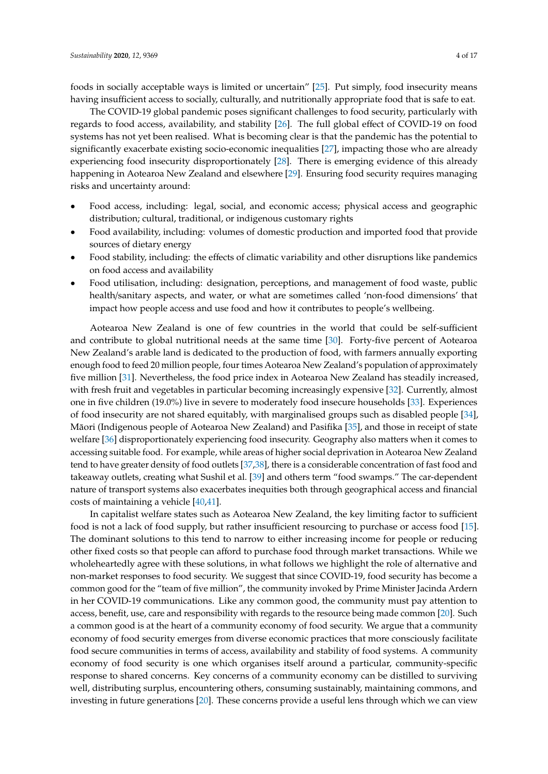foods in socially acceptable ways is limited or uncertain" [\[25\]](#page-15-5). Put simply, food insecurity means having insufficient access to socially, culturally, and nutritionally appropriate food that is safe to eat.

The COVID-19 global pandemic poses significant challenges to food security, particularly with regards to food access, availability, and stability [\[26\]](#page-15-6). The full global effect of COVID-19 on food systems has not yet been realised. What is becoming clear is that the pandemic has the potential to significantly exacerbate existing socio-economic inequalities [\[27\]](#page-15-7), impacting those who are already experiencing food insecurity disproportionately [\[28\]](#page-15-8). There is emerging evidence of this already happening in Aotearoa New Zealand and elsewhere [\[29\]](#page-15-9). Ensuring food security requires managing risks and uncertainty around:

- Food access, including: legal, social, and economic access; physical access and geographic distribution; cultural, traditional, or indigenous customary rights
- Food availability, including: volumes of domestic production and imported food that provide sources of dietary energy
- Food stability, including: the effects of climatic variability and other disruptions like pandemics on food access and availability
- Food utilisation, including: designation, perceptions, and management of food waste, public health/sanitary aspects, and water, or what are sometimes called 'non-food dimensions' that impact how people access and use food and how it contributes to people's wellbeing.

Aotearoa New Zealand is one of few countries in the world that could be self-sufficient and contribute to global nutritional needs at the same time [\[30\]](#page-15-10). Forty-five percent of Aotearoa New Zealand's arable land is dedicated to the production of food, with farmers annually exporting enough food to feed 20 million people, four times Aotearoa New Zealand's population of approximately five million [\[31\]](#page-15-11). Nevertheless, the food price index in Aotearoa New Zealand has steadily increased, with fresh fruit and vegetables in particular becoming increasingly expensive [\[32\]](#page-15-12). Currently, almost one in five children (19.0%) live in severe to moderately food insecure households [\[33\]](#page-15-13). Experiences of food insecurity are not shared equitably, with marginalised groups such as disabled people [\[34\]](#page-15-14), Māori (Indigenous people of Aotearoa New Zealand) and Pasifika [[35\]](#page-15-15), and those in receipt of state welfare [\[36\]](#page-15-16) disproportionately experiencing food insecurity. Geography also matters when it comes to accessing suitable food. For example, while areas of higher social deprivation in Aotearoa New Zealand tend to have greater density of food outlets [\[37,](#page-15-17)[38\]](#page-15-18), there is a considerable concentration of fast food and takeaway outlets, creating what Sushil et al. [\[39\]](#page-15-19) and others term "food swamps." The car-dependent nature of transport systems also exacerbates inequities both through geographical access and financial costs of maintaining a vehicle [\[40](#page-15-20)[,41\]](#page-15-21).

In capitalist welfare states such as Aotearoa New Zealand, the key limiting factor to sufficient food is not a lack of food supply, but rather insufficient resourcing to purchase or access food [\[15\]](#page-14-11). The dominant solutions to this tend to narrow to either increasing income for people or reducing other fixed costs so that people can afford to purchase food through market transactions. While we wholeheartedly agree with these solutions, in what follows we highlight the role of alternative and non-market responses to food security. We suggest that since COVID-19, food security has become a common good for the "team of five million", the community invoked by Prime Minister Jacinda Ardern in her COVID-19 communications. Like any common good, the community must pay attention to access, benefit, use, care and responsibility with regards to the resource being made common [\[20\]](#page-15-0). Such a common good is at the heart of a community economy of food security. We argue that a community economy of food security emerges from diverse economic practices that more consciously facilitate food secure communities in terms of access, availability and stability of food systems. A community economy of food security is one which organises itself around a particular, community-specific response to shared concerns. Key concerns of a community economy can be distilled to surviving well, distributing surplus, encountering others, consuming sustainably, maintaining commons, and investing in future generations [\[20\]](#page-15-0). These concerns provide a useful lens through which we can view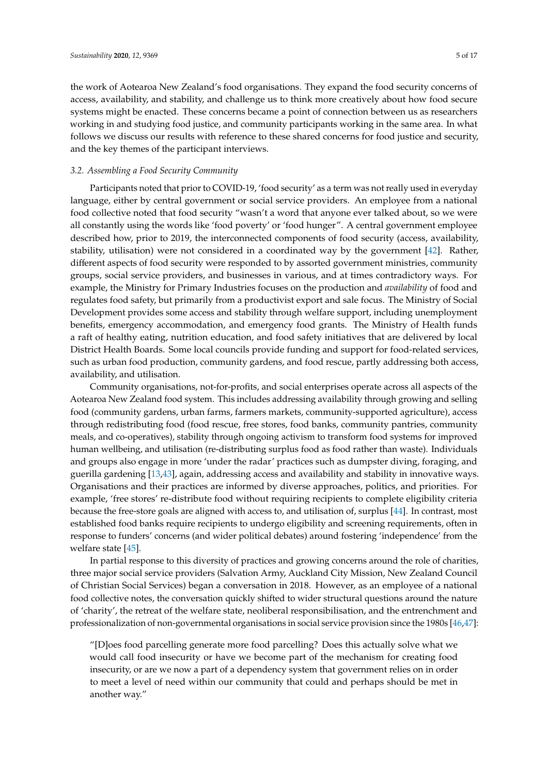the work of Aotearoa New Zealand's food organisations. They expand the food security concerns of access, availability, and stability, and challenge us to think more creatively about how food secure systems might be enacted. These concerns became a point of connection between us as researchers working in and studying food justice, and community participants working in the same area. In what follows we discuss our results with reference to these shared concerns for food justice and security, and the key themes of the participant interviews.

#### *3.2. Assembling a Food Security Community*

Participants noted that prior to COVID-19, 'food security' as a term was not really used in everyday language, either by central government or social service providers. An employee from a national food collective noted that food security "wasn't a word that anyone ever talked about, so we were all constantly using the words like 'food poverty' or 'food hunger". A central government employee described how, prior to 2019, the interconnected components of food security (access, availability, stability, utilisation) were not considered in a coordinated way by the government [\[42\]](#page-15-22). Rather, different aspects of food security were responded to by assorted government ministries, community groups, social service providers, and businesses in various, and at times contradictory ways. For example, the Ministry for Primary Industries focuses on the production and *availability* of food and regulates food safety, but primarily from a productivist export and sale focus. The Ministry of Social Development provides some access and stability through welfare support, including unemployment benefits, emergency accommodation, and emergency food grants. The Ministry of Health funds a raft of healthy eating, nutrition education, and food safety initiatives that are delivered by local District Health Boards. Some local councils provide funding and support for food-related services, such as urban food production, community gardens, and food rescue, partly addressing both access, availability, and utilisation.

Community organisations, not-for-profits, and social enterprises operate across all aspects of the Aotearoa New Zealand food system. This includes addressing availability through growing and selling food (community gardens, urban farms, farmers markets, community-supported agriculture), access through redistributing food (food rescue, free stores, food banks, community pantries, community meals, and co-operatives), stability through ongoing activism to transform food systems for improved human wellbeing, and utilisation (re-distributing surplus food as food rather than waste). Individuals and groups also engage in more 'under the radar' practices such as dumpster diving, foraging, and guerilla gardening [\[13,](#page-14-16)[43\]](#page-16-0), again, addressing access and availability and stability in innovative ways. Organisations and their practices are informed by diverse approaches, politics, and priorities. For example, 'free stores' re-distribute food without requiring recipients to complete eligibility criteria because the free-store goals are aligned with access to, and utilisation of, surplus [\[44\]](#page-16-1). In contrast, most established food banks require recipients to undergo eligibility and screening requirements, often in response to funders' concerns (and wider political debates) around fostering 'independence' from the welfare state [\[45\]](#page-16-2).

In partial response to this diversity of practices and growing concerns around the role of charities, three major social service providers (Salvation Army, Auckland City Mission, New Zealand Council of Christian Social Services) began a conversation in 2018. However, as an employee of a national food collective notes, the conversation quickly shifted to wider structural questions around the nature of 'charity', the retreat of the welfare state, neoliberal responsibilisation, and the entrenchment and professionalization of non-governmental organisations in social service provision since the 1980s [\[46](#page-16-3)[,47\]](#page-16-4):

"[D]oes food parcelling generate more food parcelling? Does this actually solve what we would call food insecurity or have we become part of the mechanism for creating food insecurity, or are we now a part of a dependency system that government relies on in order to meet a level of need within our community that could and perhaps should be met in another way."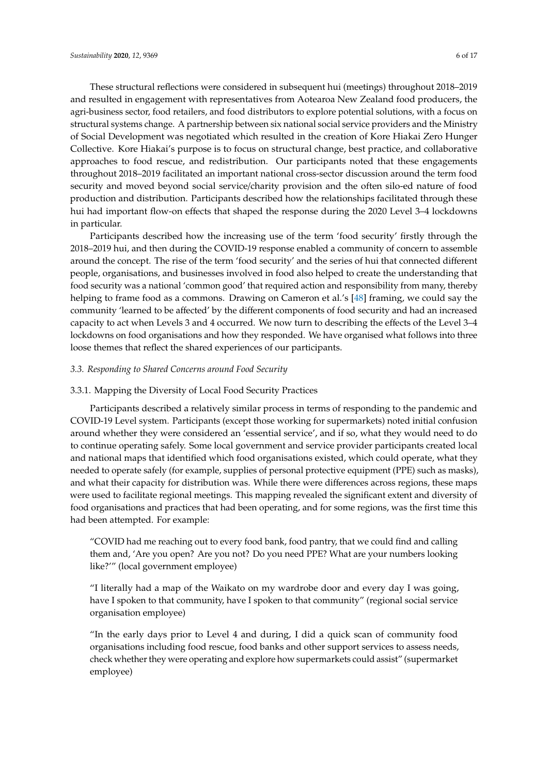These structural reflections were considered in subsequent hui (meetings) throughout 2018–2019 and resulted in engagement with representatives from Aotearoa New Zealand food producers, the agri-business sector, food retailers, and food distributors to explore potential solutions, with a focus on structural systems change. A partnership between six national social service providers and the Ministry of Social Development was negotiated which resulted in the creation of Kore Hiakai Zero Hunger Collective. Kore Hiakai's purpose is to focus on structural change, best practice, and collaborative approaches to food rescue, and redistribution. Our participants noted that these engagements throughout 2018–2019 facilitated an important national cross-sector discussion around the term food security and moved beyond social service/charity provision and the often silo-ed nature of food production and distribution. Participants described how the relationships facilitated through these hui had important flow-on effects that shaped the response during the 2020 Level 3–4 lockdowns in particular.

Participants described how the increasing use of the term 'food security' firstly through the 2018–2019 hui, and then during the COVID-19 response enabled a community of concern to assemble around the concept. The rise of the term 'food security' and the series of hui that connected different people, organisations, and businesses involved in food also helped to create the understanding that food security was a national 'common good' that required action and responsibility from many, thereby helping to frame food as a commons. Drawing on Cameron et al.'s [\[48\]](#page-16-5) framing, we could say the community 'learned to be affected' by the different components of food security and had an increased capacity to act when Levels 3 and 4 occurred. We now turn to describing the effects of the Level 3–4 lockdowns on food organisations and how they responded. We have organised what follows into three loose themes that reflect the shared experiences of our participants.

### *3.3. Responding to Shared Concerns around Food Security*

### 3.3.1. Mapping the Diversity of Local Food Security Practices

Participants described a relatively similar process in terms of responding to the pandemic and COVID-19 Level system. Participants (except those working for supermarkets) noted initial confusion around whether they were considered an 'essential service', and if so, what they would need to do to continue operating safely. Some local government and service provider participants created local and national maps that identified which food organisations existed, which could operate, what they needed to operate safely (for example, supplies of personal protective equipment (PPE) such as masks), and what their capacity for distribution was. While there were differences across regions, these maps were used to facilitate regional meetings. This mapping revealed the significant extent and diversity of food organisations and practices that had been operating, and for some regions, was the first time this had been attempted. For example:

"COVID had me reaching out to every food bank, food pantry, that we could find and calling them and, 'Are you open? Are you not? Do you need PPE? What are your numbers looking like?'" (local government employee)

"I literally had a map of the Waikato on my wardrobe door and every day I was going, have I spoken to that community, have I spoken to that community" (regional social service organisation employee)

"In the early days prior to Level 4 and during, I did a quick scan of community food organisations including food rescue, food banks and other support services to assess needs, check whether they were operating and explore how supermarkets could assist" (supermarket employee)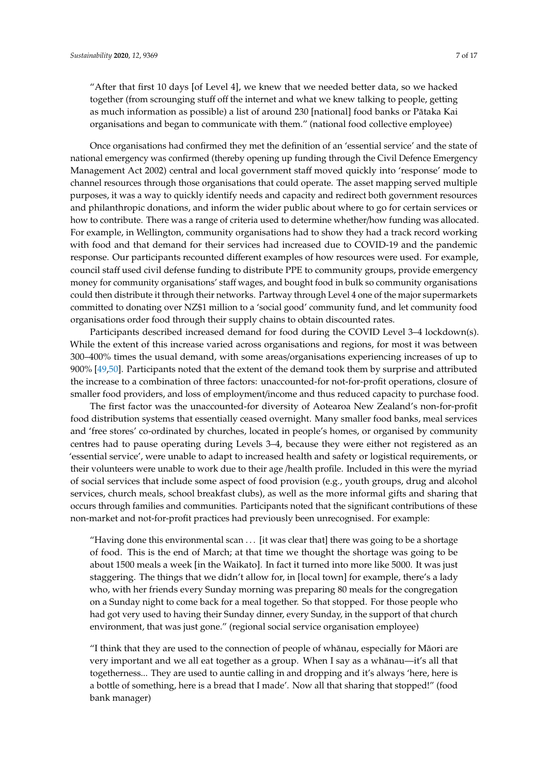"After that first 10 days [of Level 4], we knew that we needed better data, so we hacked together (from scrounging stuff off the internet and what we knew talking to people, getting as much information as possible) a list of around 230 [national] food banks or Pataka Kai ¯ organisations and began to communicate with them." (national food collective employee)

Once organisations had confirmed they met the definition of an 'essential service' and the state of national emergency was confirmed (thereby opening up funding through the Civil Defence Emergency Management Act 2002) central and local government staff moved quickly into 'response' mode to channel resources through those organisations that could operate. The asset mapping served multiple purposes, it was a way to quickly identify needs and capacity and redirect both government resources and philanthropic donations, and inform the wider public about where to go for certain services or how to contribute. There was a range of criteria used to determine whether/how funding was allocated. For example, in Wellington, community organisations had to show they had a track record working with food and that demand for their services had increased due to COVID-19 and the pandemic response. Our participants recounted different examples of how resources were used. For example, council staff used civil defense funding to distribute PPE to community groups, provide emergency money for community organisations' staff wages, and bought food in bulk so community organisations could then distribute it through their networks. Partway through Level 4 one of the major supermarkets committed to donating over NZ\$1 million to a 'social good' community fund, and let community food organisations order food through their supply chains to obtain discounted rates.

Participants described increased demand for food during the COVID Level 3–4 lockdown(s). While the extent of this increase varied across organisations and regions, for most it was between 300–400% times the usual demand, with some areas/organisations experiencing increases of up to 900% [\[49](#page-16-6)[,50\]](#page-16-7). Participants noted that the extent of the demand took them by surprise and attributed the increase to a combination of three factors: unaccounted-for not-for-profit operations, closure of smaller food providers, and loss of employment/income and thus reduced capacity to purchase food.

The first factor was the unaccounted-for diversity of Aotearoa New Zealand's non-for-profit food distribution systems that essentially ceased overnight. Many smaller food banks, meal services and 'free stores' co-ordinated by churches, located in people's homes, or organised by community centres had to pause operating during Levels 3–4, because they were either not registered as an 'essential service', were unable to adapt to increased health and safety or logistical requirements, or their volunteers were unable to work due to their age /health profile. Included in this were the myriad of social services that include some aspect of food provision (e.g., youth groups, drug and alcohol services, church meals, school breakfast clubs), as well as the more informal gifts and sharing that occurs through families and communities. Participants noted that the significant contributions of these non-market and not-for-profit practices had previously been unrecognised. For example:

"Having done this environmental scan . . . [it was clear that] there was going to be a shortage of food. This is the end of March; at that time we thought the shortage was going to be about 1500 meals a week [in the Waikato]. In fact it turned into more like 5000. It was just staggering. The things that we didn't allow for, in [local town] for example, there's a lady who, with her friends every Sunday morning was preparing 80 meals for the congregation on a Sunday night to come back for a meal together. So that stopped. For those people who had got very used to having their Sunday dinner, every Sunday, in the support of that church environment, that was just gone." (regional social service organisation employee)

"I think that they are used to the connection of people of whanau, especially for Maori are very important and we all eat together as a group. When I say as a whānau—it's all that togetherness... They are used to auntie calling in and dropping and it's always 'here, here is a bottle of something, here is a bread that I made'. Now all that sharing that stopped!" (food bank manager)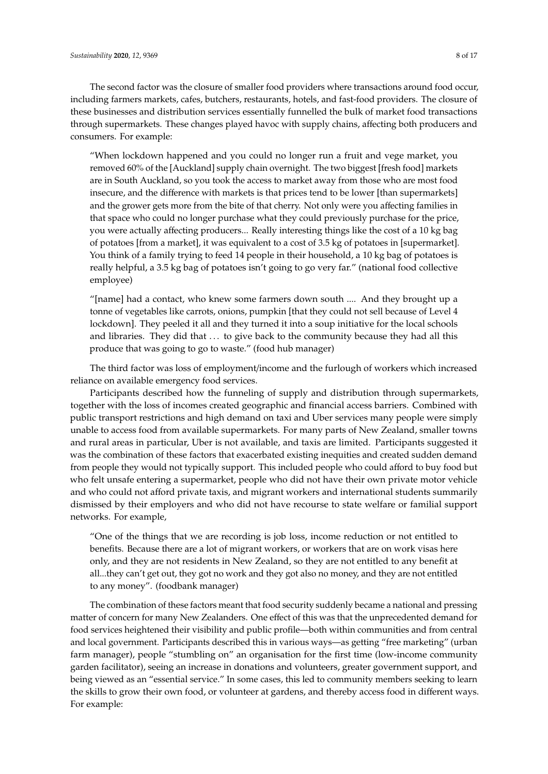The second factor was the closure of smaller food providers where transactions around food occur, including farmers markets, cafes, butchers, restaurants, hotels, and fast-food providers. The closure of these businesses and distribution services essentially funnelled the bulk of market food transactions through supermarkets. These changes played havoc with supply chains, affecting both producers and consumers. For example:

"When lockdown happened and you could no longer run a fruit and vege market, you removed 60% of the [Auckland] supply chain overnight. The two biggest [fresh food] markets are in South Auckland, so you took the access to market away from those who are most food insecure, and the difference with markets is that prices tend to be lower [than supermarkets] and the grower gets more from the bite of that cherry. Not only were you affecting families in that space who could no longer purchase what they could previously purchase for the price, you were actually affecting producers... Really interesting things like the cost of a 10 kg bag of potatoes [from a market], it was equivalent to a cost of 3.5 kg of potatoes in [supermarket]. You think of a family trying to feed 14 people in their household, a 10 kg bag of potatoes is really helpful, a 3.5 kg bag of potatoes isn't going to go very far." (national food collective employee)

"[name] had a contact, who knew some farmers down south .... And they brought up a tonne of vegetables like carrots, onions, pumpkin [that they could not sell because of Level 4 lockdown]. They peeled it all and they turned it into a soup initiative for the local schools and libraries. They did that ... to give back to the community because they had all this produce that was going to go to waste." (food hub manager)

The third factor was loss of employment/income and the furlough of workers which increased reliance on available emergency food services.

Participants described how the funneling of supply and distribution through supermarkets, together with the loss of incomes created geographic and financial access barriers. Combined with public transport restrictions and high demand on taxi and Uber services many people were simply unable to access food from available supermarkets. For many parts of New Zealand, smaller towns and rural areas in particular, Uber is not available, and taxis are limited. Participants suggested it was the combination of these factors that exacerbated existing inequities and created sudden demand from people they would not typically support. This included people who could afford to buy food but who felt unsafe entering a supermarket, people who did not have their own private motor vehicle and who could not afford private taxis, and migrant workers and international students summarily dismissed by their employers and who did not have recourse to state welfare or familial support networks. For example,

"One of the things that we are recording is job loss, income reduction or not entitled to benefits. Because there are a lot of migrant workers, or workers that are on work visas here only, and they are not residents in New Zealand, so they are not entitled to any benefit at all...they can't get out, they got no work and they got also no money, and they are not entitled to any money". (foodbank manager)

The combination of these factors meant that food security suddenly became a national and pressing matter of concern for many New Zealanders. One effect of this was that the unprecedented demand for food services heightened their visibility and public profile—both within communities and from central and local government. Participants described this in various ways—as getting "free marketing" (urban farm manager), people "stumbling on" an organisation for the first time (low-income community garden facilitator), seeing an increase in donations and volunteers, greater government support, and being viewed as an "essential service." In some cases, this led to community members seeking to learn the skills to grow their own food, or volunteer at gardens, and thereby access food in different ways. For example: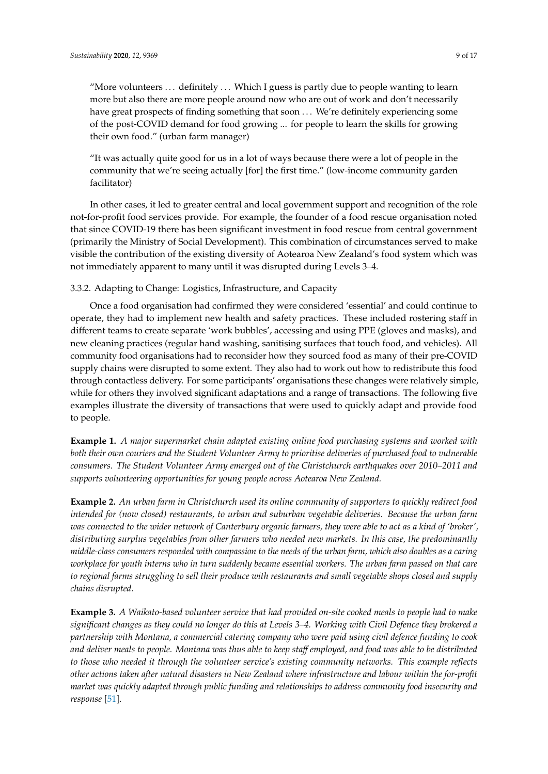"More volunteers . . . definitely . . . Which I guess is partly due to people wanting to learn more but also there are more people around now who are out of work and don't necessarily have great prospects of finding something that soon ... We're definitely experiencing some of the post-COVID demand for food growing ... for people to learn the skills for growing their own food." (urban farm manager)

"It was actually quite good for us in a lot of ways because there were a lot of people in the community that we're seeing actually [for] the first time." (low-income community garden facilitator)

In other cases, it led to greater central and local government support and recognition of the role not-for-profit food services provide. For example, the founder of a food rescue organisation noted that since COVID-19 there has been significant investment in food rescue from central government (primarily the Ministry of Social Development). This combination of circumstances served to make visible the contribution of the existing diversity of Aotearoa New Zealand's food system which was not immediately apparent to many until it was disrupted during Levels 3–4.

# 3.3.2. Adapting to Change: Logistics, Infrastructure, and Capacity

Once a food organisation had confirmed they were considered 'essential' and could continue to operate, they had to implement new health and safety practices. These included rostering staff in different teams to create separate 'work bubbles', accessing and using PPE (gloves and masks), and new cleaning practices (regular hand washing, sanitising surfaces that touch food, and vehicles). All community food organisations had to reconsider how they sourced food as many of their pre-COVID supply chains were disrupted to some extent. They also had to work out how to redistribute this food through contactless delivery. For some participants' organisations these changes were relatively simple, while for others they involved significant adaptations and a range of transactions. The following five examples illustrate the diversity of transactions that were used to quickly adapt and provide food to people.

**Example 1.** *A major supermarket chain adapted existing online food purchasing systems and worked with both their own couriers and the Student Volunteer Army to prioritise deliveries of purchased food to vulnerable consumers. The Student Volunteer Army emerged out of the Christchurch earthquakes over 2010–2011 and supports volunteering opportunities for young people across Aotearoa New Zealand.*

**Example 2.** *An urban farm in Christchurch used its online community of supporters to quickly redirect food intended for (now closed) restaurants, to urban and suburban vegetable deliveries. Because the urban farm was connected to the wider network of Canterbury organic farmers, they were able to act as a kind of 'broker', distributing surplus vegetables from other farmers who needed new markets. In this case, the predominantly middle-class consumers responded with compassion to the needs of the urban farm, which also doubles as a caring workplace for youth interns who in turn suddenly became essential workers. The urban farm passed on that care to regional farms struggling to sell their produce with restaurants and small vegetable shops closed and supply chains disrupted.*

**Example 3.** *A Waikato-based volunteer service that had provided on-site cooked meals to people had to make significant changes as they could no longer do this at Levels 3–4. Working with Civil Defence they brokered a partnership with Montana, a commercial catering company who were paid using civil defence funding to cook and deliver meals to people. Montana was thus able to keep sta*ff *employed, and food was able to be distributed to those who needed it through the volunteer service's existing community networks. This example reflects other actions taken after natural disasters in New Zealand where infrastructure and labour within the for-profit market was quickly adapted through public funding and relationships to address community food insecurity and response* [\[51\]](#page-16-8).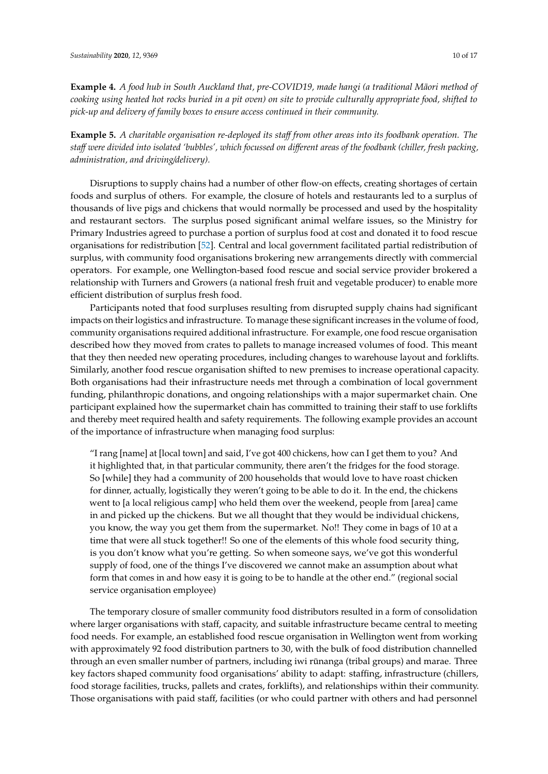**Example 4.** *A food hub in South Auckland that, pre-COVID19, made hangi (a traditional Māori method of cooking using heated hot rocks buried in a pit oven) on site to provide culturally appropriate food, shifted to pick-up and delivery of family boxes to ensure access continued in their community.*

**Example 5.** *A charitable organisation re-deployed its sta*ff *from other areas into its foodbank operation. The sta*ff *were divided into isolated 'bubbles', which focussed on di*ff*erent areas of the foodbank (chiller, fresh packing, administration, and driving*/*delivery).*

Disruptions to supply chains had a number of other flow-on effects, creating shortages of certain foods and surplus of others. For example, the closure of hotels and restaurants led to a surplus of thousands of live pigs and chickens that would normally be processed and used by the hospitality and restaurant sectors. The surplus posed significant animal welfare issues, so the Ministry for Primary Industries agreed to purchase a portion of surplus food at cost and donated it to food rescue organisations for redistribution [\[52\]](#page-16-9). Central and local government facilitated partial redistribution of surplus, with community food organisations brokering new arrangements directly with commercial operators. For example, one Wellington-based food rescue and social service provider brokered a relationship with Turners and Growers (a national fresh fruit and vegetable producer) to enable more efficient distribution of surplus fresh food.

Participants noted that food surpluses resulting from disrupted supply chains had significant impacts on their logistics and infrastructure. To manage these significant increases in the volume of food, community organisations required additional infrastructure. For example, one food rescue organisation described how they moved from crates to pallets to manage increased volumes of food. This meant that they then needed new operating procedures, including changes to warehouse layout and forklifts. Similarly, another food rescue organisation shifted to new premises to increase operational capacity. Both organisations had their infrastructure needs met through a combination of local government funding, philanthropic donations, and ongoing relationships with a major supermarket chain. One participant explained how the supermarket chain has committed to training their staff to use forklifts and thereby meet required health and safety requirements. The following example provides an account of the importance of infrastructure when managing food surplus:

"I rang [name] at [local town] and said, I've got 400 chickens, how can I get them to you? And it highlighted that, in that particular community, there aren't the fridges for the food storage. So [while] they had a community of 200 households that would love to have roast chicken for dinner, actually, logistically they weren't going to be able to do it. In the end, the chickens went to [a local religious camp] who held them over the weekend, people from [area] came in and picked up the chickens. But we all thought that they would be individual chickens, you know, the way you get them from the supermarket. No!! They come in bags of 10 at a time that were all stuck together!! So one of the elements of this whole food security thing, is you don't know what you're getting. So when someone says, we've got this wonderful supply of food, one of the things I've discovered we cannot make an assumption about what form that comes in and how easy it is going to be to handle at the other end." (regional social service organisation employee)

The temporary closure of smaller community food distributors resulted in a form of consolidation where larger organisations with staff, capacity, and suitable infrastructure became central to meeting food needs. For example, an established food rescue organisation in Wellington went from working with approximately 92 food distribution partners to 30, with the bulk of food distribution channelled through an even smaller number of partners, including iwi rūnanga (tribal groups) and marae. Three key factors shaped community food organisations' ability to adapt: staffing, infrastructure (chillers, food storage facilities, trucks, pallets and crates, forklifts), and relationships within their community. Those organisations with paid staff, facilities (or who could partner with others and had personnel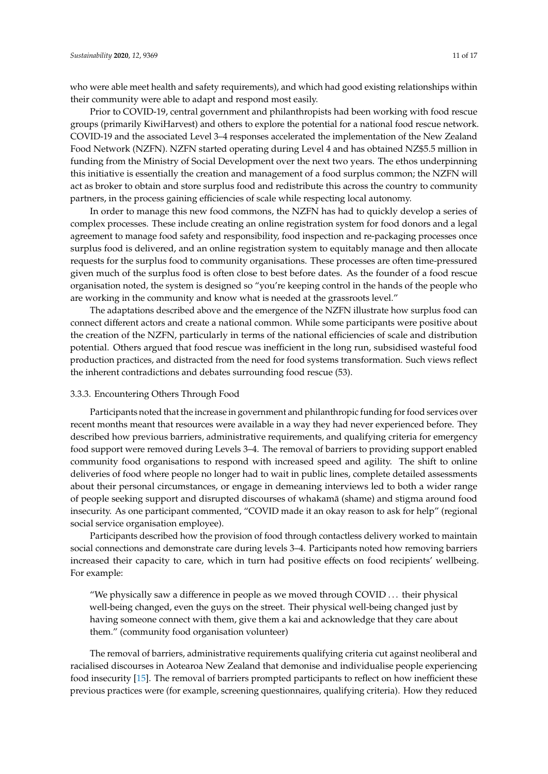who were able meet health and safety requirements), and which had good existing relationships within their community were able to adapt and respond most easily.

Prior to COVID-19, central government and philanthropists had been working with food rescue groups (primarily KiwiHarvest) and others to explore the potential for a national food rescue network. COVID-19 and the associated Level 3–4 responses accelerated the implementation of the New Zealand Food Network (NZFN). NZFN started operating during Level 4 and has obtained NZ\$5.5 million in funding from the Ministry of Social Development over the next two years. The ethos underpinning this initiative is essentially the creation and management of a food surplus common; the NZFN will act as broker to obtain and store surplus food and redistribute this across the country to community partners, in the process gaining efficiencies of scale while respecting local autonomy.

In order to manage this new food commons, the NZFN has had to quickly develop a series of complex processes. These include creating an online registration system for food donors and a legal agreement to manage food safety and responsibility, food inspection and re-packaging processes once surplus food is delivered, and an online registration system to equitably manage and then allocate requests for the surplus food to community organisations. These processes are often time-pressured given much of the surplus food is often close to best before dates. As the founder of a food rescue organisation noted, the system is designed so "you're keeping control in the hands of the people who are working in the community and know what is needed at the grassroots level."

The adaptations described above and the emergence of the NZFN illustrate how surplus food can connect different actors and create a national common. While some participants were positive about the creation of the NZFN, particularly in terms of the national efficiencies of scale and distribution potential. Others argued that food rescue was inefficient in the long run, subsidised wasteful food production practices, and distracted from the need for food systems transformation. Such views reflect the inherent contradictions and debates surrounding food rescue (53).

#### 3.3.3. Encountering Others Through Food

Participants noted that the increase in government and philanthropic funding for food services over recent months meant that resources were available in a way they had never experienced before. They described how previous barriers, administrative requirements, and qualifying criteria for emergency food support were removed during Levels 3–4. The removal of barriers to providing support enabled community food organisations to respond with increased speed and agility. The shift to online deliveries of food where people no longer had to wait in public lines, complete detailed assessments about their personal circumstances, or engage in demeaning interviews led to both a wider range of people seeking support and disrupted discourses of whakama (shame) and stigma around food ¯ insecurity. As one participant commented, "COVID made it an okay reason to ask for help" (regional social service organisation employee).

Participants described how the provision of food through contactless delivery worked to maintain social connections and demonstrate care during levels 3–4. Participants noted how removing barriers increased their capacity to care, which in turn had positive effects on food recipients' wellbeing. For example:

"We physically saw a difference in people as we moved through COVID . . . their physical well-being changed, even the guys on the street. Their physical well-being changed just by having someone connect with them, give them a kai and acknowledge that they care about them." (community food organisation volunteer)

The removal of barriers, administrative requirements qualifying criteria cut against neoliberal and racialised discourses in Aotearoa New Zealand that demonise and individualise people experiencing food insecurity [\[15\]](#page-14-11). The removal of barriers prompted participants to reflect on how inefficient these previous practices were (for example, screening questionnaires, qualifying criteria). How they reduced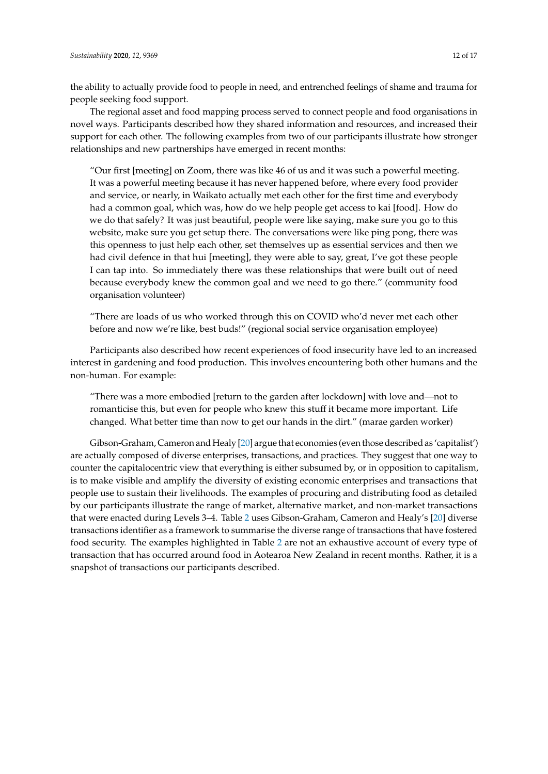the ability to actually provide food to people in need, and entrenched feelings of shame and trauma for people seeking food support.

The regional asset and food mapping process served to connect people and food organisations in novel ways. Participants described how they shared information and resources, and increased their support for each other. The following examples from two of our participants illustrate how stronger relationships and new partnerships have emerged in recent months:

"Our first [meeting] on Zoom, there was like 46 of us and it was such a powerful meeting. It was a powerful meeting because it has never happened before, where every food provider and service, or nearly, in Waikato actually met each other for the first time and everybody had a common goal, which was, how do we help people get access to kai [food]. How do we do that safely? It was just beautiful, people were like saying, make sure you go to this website, make sure you get setup there. The conversations were like ping pong, there was this openness to just help each other, set themselves up as essential services and then we had civil defence in that hui [meeting], they were able to say, great, I've got these people I can tap into. So immediately there was these relationships that were built out of need because everybody knew the common goal and we need to go there." (community food organisation volunteer)

"There are loads of us who worked through this on COVID who'd never met each other before and now we're like, best buds!" (regional social service organisation employee)

Participants also described how recent experiences of food insecurity have led to an increased interest in gardening and food production. This involves encountering both other humans and the non-human. For example:

"There was a more embodied [return to the garden after lockdown] with love and—not to romanticise this, but even for people who knew this stuff it became more important. Life changed. What better time than now to get our hands in the dirt." (marae garden worker)

Gibson-Graham, Cameron and Healy [\[20\]](#page-15-0) argue that economies (even those described as 'capitalist') are actually composed of diverse enterprises, transactions, and practices. They suggest that one way to counter the capitalocentric view that everything is either subsumed by, or in opposition to capitalism, is to make visible and amplify the diversity of existing economic enterprises and transactions that people use to sustain their livelihoods. The examples of procuring and distributing food as detailed by our participants illustrate the range of market, alternative market, and non-market transactions that were enacted during Levels 3–4. Table [2](#page-12-1) uses Gibson-Graham, Cameron and Healy's [\[20\]](#page-15-0) diverse transactions identifier as a framework to summarise the diverse range of transactions that have fostered food security. The examples highlighted in Table [2](#page-12-1) are not an exhaustive account of every type of transaction that has occurred around food in Aotearoa New Zealand in recent months. Rather, it is a snapshot of transactions our participants described.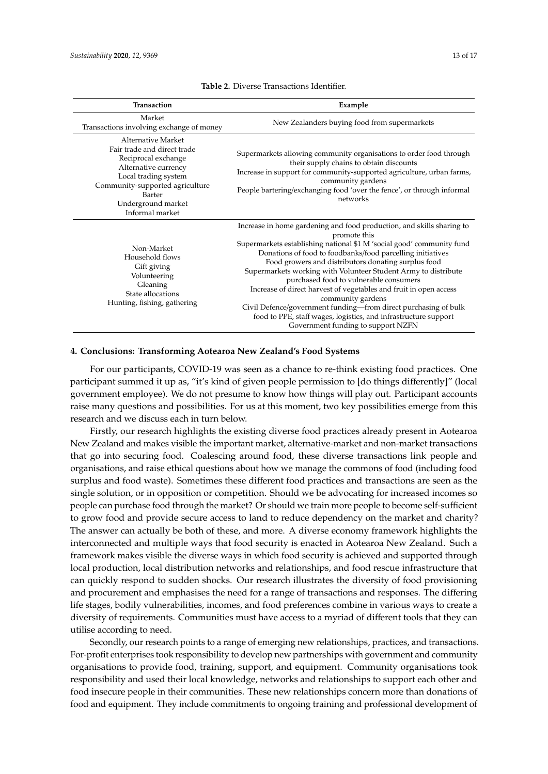<span id="page-12-1"></span>

| Transaction                                                                                                                                                                                                    | Example                                                                                                                                                                                                                                                                                                                                                                                                                                                                                                                                                                                                                                                               |
|----------------------------------------------------------------------------------------------------------------------------------------------------------------------------------------------------------------|-----------------------------------------------------------------------------------------------------------------------------------------------------------------------------------------------------------------------------------------------------------------------------------------------------------------------------------------------------------------------------------------------------------------------------------------------------------------------------------------------------------------------------------------------------------------------------------------------------------------------------------------------------------------------|
| Market<br>Transactions involving exchange of money                                                                                                                                                             | New Zealanders buying food from supermarkets                                                                                                                                                                                                                                                                                                                                                                                                                                                                                                                                                                                                                          |
| Alternative Market<br>Fair trade and direct trade<br>Reciprocal exchange<br>Alternative currency<br>Local trading system<br>Community-supported agriculture<br>Barter<br>Underground market<br>Informal market | Supermarkets allowing community organisations to order food through<br>their supply chains to obtain discounts<br>Increase in support for community-supported agriculture, urban farms,<br>community gardens<br>People bartering/exchanging food 'over the fence', or through informal<br>networks                                                                                                                                                                                                                                                                                                                                                                    |
| Non-Market<br>Household flows<br>Gift giving<br>Volunteering<br>Gleaning<br>State allocations<br>Hunting, fishing, gathering                                                                                   | Increase in home gardening and food production, and skills sharing to<br>promote this<br>Supermarkets establishing national \$1 M 'social good' community fund<br>Donations of food to foodbanks/food parcelling initiatives<br>Food growers and distributors donating surplus food<br>Supermarkets working with Volunteer Student Army to distribute<br>purchased food to vulnerable consumers<br>Increase of direct harvest of vegetables and fruit in open access<br>community gardens<br>Civil Defence/government funding-from direct purchasing of bulk<br>food to PPE, staff wages, logistics, and infrastructure support<br>Government funding to support NZFN |

**Table 2.** Diverse Transactions Identifier.

#### <span id="page-12-0"></span>**4. Conclusions: Transforming Aotearoa New Zealand's Food Systems**

For our participants, COVID-19 was seen as a chance to re-think existing food practices. One participant summed it up as, "it's kind of given people permission to [do things differently]" (local government employee). We do not presume to know how things will play out. Participant accounts raise many questions and possibilities. For us at this moment, two key possibilities emerge from this research and we discuss each in turn below.

Firstly, our research highlights the existing diverse food practices already present in Aotearoa New Zealand and makes visible the important market, alternative-market and non-market transactions that go into securing food. Coalescing around food, these diverse transactions link people and organisations, and raise ethical questions about how we manage the commons of food (including food surplus and food waste). Sometimes these different food practices and transactions are seen as the single solution, or in opposition or competition. Should we be advocating for increased incomes so people can purchase food through the market? Or should we train more people to become self-sufficient to grow food and provide secure access to land to reduce dependency on the market and charity? The answer can actually be both of these, and more. A diverse economy framework highlights the interconnected and multiple ways that food security is enacted in Aotearoa New Zealand. Such a framework makes visible the diverse ways in which food security is achieved and supported through local production, local distribution networks and relationships, and food rescue infrastructure that can quickly respond to sudden shocks. Our research illustrates the diversity of food provisioning and procurement and emphasises the need for a range of transactions and responses. The differing life stages, bodily vulnerabilities, incomes, and food preferences combine in various ways to create a diversity of requirements. Communities must have access to a myriad of different tools that they can utilise according to need.

Secondly, our research points to a range of emerging new relationships, practices, and transactions. For-profit enterprises took responsibility to develop new partnerships with government and community organisations to provide food, training, support, and equipment. Community organisations took responsibility and used their local knowledge, networks and relationships to support each other and food insecure people in their communities. These new relationships concern more than donations of food and equipment. They include commitments to ongoing training and professional development of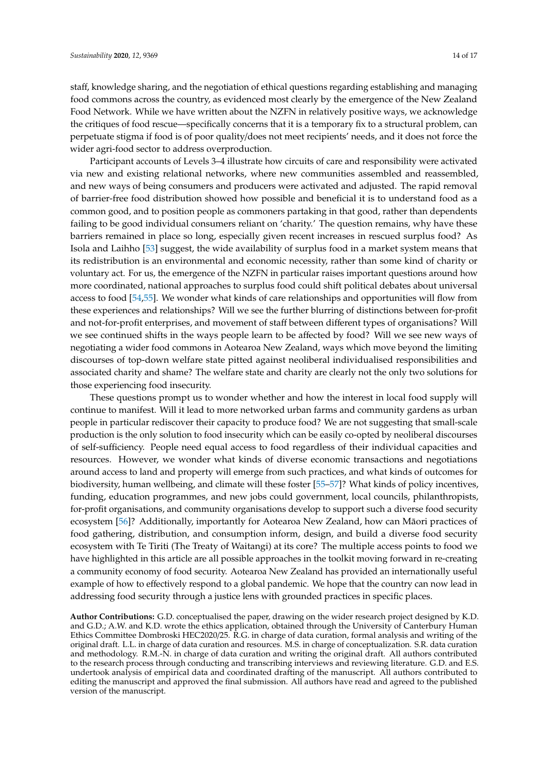staff, knowledge sharing, and the negotiation of ethical questions regarding establishing and managing food commons across the country, as evidenced most clearly by the emergence of the New Zealand Food Network. While we have written about the NZFN in relatively positive ways, we acknowledge the critiques of food rescue—specifically concerns that it is a temporary fix to a structural problem, can perpetuate stigma if food is of poor quality/does not meet recipients' needs, and it does not force the wider agri-food sector to address overproduction.

Participant accounts of Levels 3–4 illustrate how circuits of care and responsibility were activated via new and existing relational networks, where new communities assembled and reassembled, and new ways of being consumers and producers were activated and adjusted. The rapid removal of barrier-free food distribution showed how possible and beneficial it is to understand food as a common good, and to position people as commoners partaking in that good, rather than dependents failing to be good individual consumers reliant on 'charity.' The question remains, why have these barriers remained in place so long, especially given recent increases in rescued surplus food? As Isola and Laihho [\[53\]](#page-16-10) suggest, the wide availability of surplus food in a market system means that its redistribution is an environmental and economic necessity, rather than some kind of charity or voluntary act. For us, the emergence of the NZFN in particular raises important questions around how more coordinated, national approaches to surplus food could shift political debates about universal access to food [\[54,](#page-16-11)[55\]](#page-16-12). We wonder what kinds of care relationships and opportunities will flow from these experiences and relationships? Will we see the further blurring of distinctions between for-profit and not-for-profit enterprises, and movement of staff between different types of organisations? Will we see continued shifts in the ways people learn to be affected by food? Will we see new ways of negotiating a wider food commons in Aotearoa New Zealand, ways which move beyond the limiting discourses of top-down welfare state pitted against neoliberal individualised responsibilities and associated charity and shame? The welfare state and charity are clearly not the only two solutions for those experiencing food insecurity.

These questions prompt us to wonder whether and how the interest in local food supply will continue to manifest. Will it lead to more networked urban farms and community gardens as urban people in particular rediscover their capacity to produce food? We are not suggesting that small-scale production is the only solution to food insecurity which can be easily co-opted by neoliberal discourses of self-sufficiency. People need equal access to food regardless of their individual capacities and resources. However, we wonder what kinds of diverse economic transactions and negotiations around access to land and property will emerge from such practices, and what kinds of outcomes for biodiversity, human wellbeing, and climate will these foster [\[55](#page-16-12)[–57\]](#page-16-13)? What kinds of policy incentives, funding, education programmes, and new jobs could government, local councils, philanthropists, for-profit organisations, and community organisations develop to support such a diverse food security ecosystem [\[56\]](#page-16-14)? Additionally, importantly for Aotearoa New Zealand, how can Māori practices of food gathering, distribution, and consumption inform, design, and build a diverse food security ecosystem with Te Tiriti (The Treaty of Waitangi) at its core? The multiple access points to food we have highlighted in this article are all possible approaches in the toolkit moving forward in re-creating a community economy of food security. Aotearoa New Zealand has provided an internationally useful example of how to effectively respond to a global pandemic. We hope that the country can now lead in addressing food security through a justice lens with grounded practices in specific places.

**Author Contributions:** G.D. conceptualised the paper, drawing on the wider research project designed by K.D. and G.D.; A.W. and K.D. wrote the ethics application, obtained through the University of Canterbury Human Ethics Committee Dombroski HEC2020/25. R.G. in charge of data curation, formal analysis and writing of the original draft. L.L. in charge of data curation and resources. M.S. in charge of conceptualization. S.R. data curation and methodology. R.M.-N. in charge of data curation and writing the original draft. All authors contributed to the research process through conducting and transcribing interviews and reviewing literature. G.D. and E.S. undertook analysis of empirical data and coordinated drafting of the manuscript. All authors contributed to editing the manuscript and approved the final submission. All authors have read and agreed to the published version of the manuscript.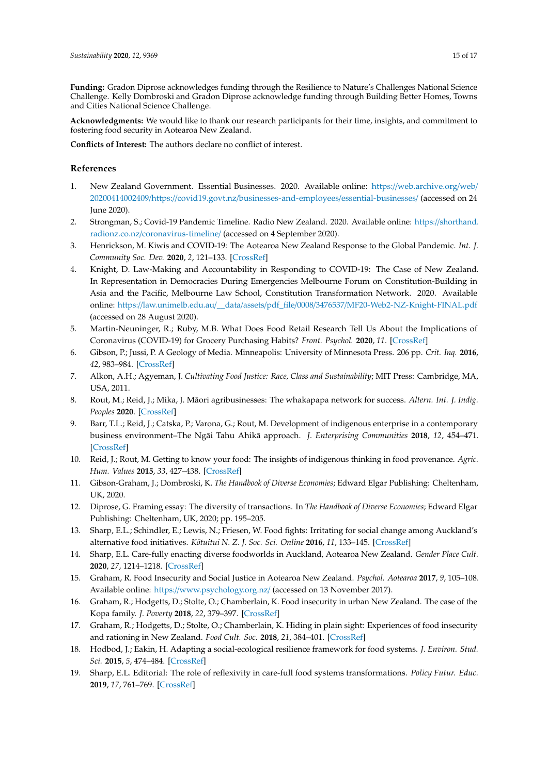**Funding:** Gradon Diprose acknowledges funding through the Resilience to Nature's Challenges National Science Challenge. Kelly Dombroski and Gradon Diprose acknowledge funding through Building Better Homes, Towns and Cities National Science Challenge.

**Acknowledgments:** We would like to thank our research participants for their time, insights, and commitment to fostering food security in Aotearoa New Zealand.

**Conflicts of Interest:** The authors declare no conflict of interest.

## **References**

- <span id="page-14-0"></span>1. New Zealand Government. Essential Businesses. 2020. Available online: https://[web.archive.org](https://web.archive.org/web/20200414002409/https://covid19.govt.nz/businesses-and-employees/essential-businesses/)/web/ 20200414002409/https://covid19.govt.nz/[businesses-and-employees](https://web.archive.org/web/20200414002409/https://covid19.govt.nz/businesses-and-employees/essential-businesses/)/essential-businesses/ (accessed on 24 June 2020).
- <span id="page-14-1"></span>2. Strongman, S.; Covid-19 Pandemic Timeline. Radio New Zealand. 2020. Available online: https://[shorthand.](https://shorthand.radionz.co.nz/coronavirus-timeline/) radionz.co.nz/[coronavirus-timeline](https://shorthand.radionz.co.nz/coronavirus-timeline/)/ (accessed on 4 September 2020).
- <span id="page-14-2"></span>3. Henrickson, M. Kiwis and COVID-19: The Aotearoa New Zealand Response to the Global Pandemic. *Int. J. Community Soc. Dev.* **2020**, *2*, 121–133. [\[CrossRef\]](http://dx.doi.org/10.1177/2516602620932558)
- <span id="page-14-3"></span>4. Knight, D. Law-Making and Accountability in Responding to COVID-19: The Case of New Zealand. In Representation in Democracies During Emergencies Melbourne Forum on Constitution-Building in Asia and the Pacific, Melbourne Law School, Constitution Transformation Network. 2020. Available online: https://law.unimelb.edu.au/\_\_data/assets/pdf\_file/0008/3476537/[MF20-Web2-NZ-Knight-FINAL.pdf](https://law.unimelb.edu.au/__data/assets/pdf_file/0008/3476537/MF20-Web2-NZ-Knight-FINAL.pdf) (accessed on 28 August 2020).
- <span id="page-14-4"></span>5. Martin-Neuninger, R.; Ruby, M.B. What Does Food Retail Research Tell Us About the Implications of Coronavirus (COVID-19) for Grocery Purchasing Habits? *Front. Psychol.* **2020**, *11*. [\[CrossRef\]](http://dx.doi.org/10.3389/fpsyg.2020.01448)
- <span id="page-14-5"></span>6. Gibson, P.; Jussi, P. A Geology of Media. Minneapolis: University of Minnesota Press. 206 pp. *Crit. Inq.* **2016**, *42*, 983–984. [\[CrossRef\]](http://dx.doi.org/10.1086/686952)
- <span id="page-14-6"></span>7. Alkon, A.H.; Agyeman, J. *Cultivating Food Justice: Race, Class and Sustainability*; MIT Press: Cambridge, MA, USA, 2011.
- <span id="page-14-7"></span>8. Rout, M.; Reid, J.; Mika, J. Māori agribusinesses: The whakapapa network for success. Altern. Int. J. Indig. *Peoples* **2020**. [\[CrossRef\]](http://dx.doi.org/10.1177/1177180120947822)
- 9. Barr, T.L.; Reid, J.; Catska, P.; Varona, G.; Rout, M. Development of indigenous enterprise in a contemporary business environment–The Ngāi Tahu Ahikā approach. *J. Enterprising Communities* 2018, 12, 454–471. [\[CrossRef\]](http://dx.doi.org/10.1108/JEC-05-2016-0014)
- <span id="page-14-8"></span>10. Reid, J.; Rout, M. Getting to know your food: The insights of indigenous thinking in food provenance. *Agric. Hum. Values* **2015**, *33*, 427–438. [\[CrossRef\]](http://dx.doi.org/10.1007/s10460-015-9617-8)
- <span id="page-14-9"></span>11. Gibson-Graham, J.; Dombroski, K. *The Handbook of Diverse Economies*; Edward Elgar Publishing: Cheltenham, UK, 2020.
- 12. Diprose, G. Framing essay: The diversity of transactions. In *The Handbook of Diverse Economies*; Edward Elgar Publishing: Cheltenham, UK, 2020; pp. 195–205.
- <span id="page-14-16"></span>13. Sharp, E.L.; Schindler, E.; Lewis, N.; Friesen, W. Food fights: Irritating for social change among Auckland's alternative food initiatives. *Kotuitui N. Z. J. Soc. Sci. Online ¯* **2016**, *11*, 133–145. [\[CrossRef\]](http://dx.doi.org/10.1080/1177083X.2016.1158197)
- <span id="page-14-10"></span>14. Sharp, E.L. Care-fully enacting diverse foodworlds in Auckland, Aotearoa New Zealand. *Gender Place Cult.* **2020**, *27*, 1214–1218. [\[CrossRef\]](http://dx.doi.org/10.1080/0966369X.2019.1708275)
- <span id="page-14-11"></span>15. Graham, R. Food Insecurity and Social Justice in Aotearoa New Zealand. *Psychol. Aotearoa* **2017**, *9*, 105–108. Available online: https://[www.psychology.org.nz](https://www.psychology.org.nz/)/ (accessed on 13 November 2017).
- <span id="page-14-12"></span>16. Graham, R.; Hodgetts, D.; Stolte, O.; Chamberlain, K. Food insecurity in urban New Zealand. The case of the Kopa family. *J. Poverty* **2018**, *22*, 379–397. [\[CrossRef\]](http://dx.doi.org/10.1080/10875549.2017.1419533)
- <span id="page-14-13"></span>17. Graham, R.; Hodgetts, D.; Stolte, O.; Chamberlain, K. Hiding in plain sight: Experiences of food insecurity and rationing in New Zealand. *Food Cult. Soc.* **2018**, *21*, 384–401. [\[CrossRef\]](http://dx.doi.org/10.1080/15528014.2018.1451043)
- <span id="page-14-14"></span>18. Hodbod, J.; Eakin, H. Adapting a social-ecological resilience framework for food systems. *J. Environ. Stud. Sci.* **2015**, *5*, 474–484. [\[CrossRef\]](http://dx.doi.org/10.1007/s13412-015-0280-6)
- <span id="page-14-15"></span>19. Sharp, E.L. Editorial: The role of reflexivity in care-full food systems transformations. *Policy Futur. Educ.* **2019**, *17*, 761–769. [\[CrossRef\]](http://dx.doi.org/10.1177/1478210319874256)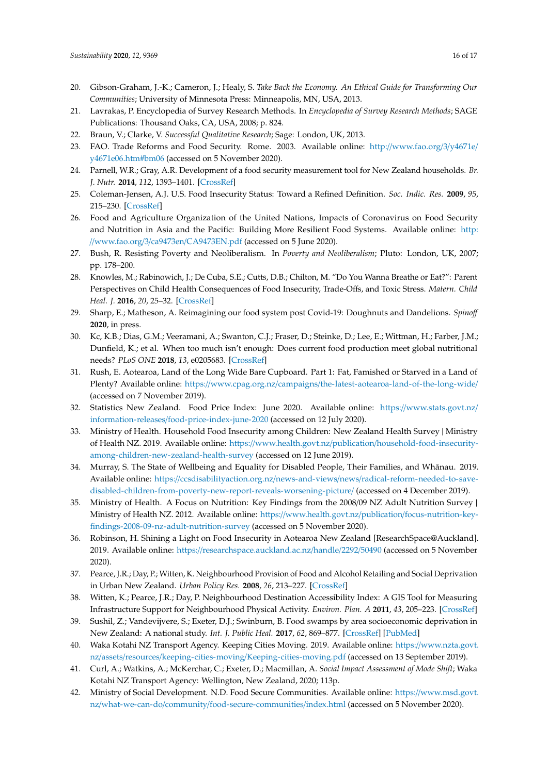- <span id="page-15-0"></span>20. Gibson-Graham, J.-K.; Cameron, J.; Healy, S. *Take Back the Economy. An Ethical Guide for Transforming Our Communities*; University of Minnesota Press: Minneapolis, MN, USA, 2013.
- <span id="page-15-1"></span>21. Lavrakas, P. Encyclopedia of Survey Research Methods. In *Encyclopedia of Survey Research Methods*; SAGE Publications: Thousand Oaks, CA, USA, 2008; p. 824.
- <span id="page-15-2"></span>22. Braun, V.; Clarke, V. *Successful Qualitative Research*; Sage: London, UK, 2013.
- <span id="page-15-3"></span>23. FAO. Trade Reforms and Food Security. Rome. 2003. Available online: http://[www.fao.org](http://www.fao.org/3/y4671e/y4671e06.htm#bm06)/3/y4671e/ [y4671e06.htm#bm06](http://www.fao.org/3/y4671e/y4671e06.htm#bm06) (accessed on 5 November 2020).
- <span id="page-15-4"></span>24. Parnell, W.R.; Gray, A.R. Development of a food security measurement tool for New Zealand households. *Br. J. Nutr.* **2014**, *112*, 1393–1401. [\[CrossRef\]](http://dx.doi.org/10.1017/S0007114514002104)
- <span id="page-15-5"></span>25. Coleman-Jensen, A.J. U.S. Food Insecurity Status: Toward a Refined Definition. *Soc. Indic. Res.* **2009**, *95*, 215–230. [\[CrossRef\]](http://dx.doi.org/10.1007/s11205-009-9455-4)
- <span id="page-15-6"></span>26. Food and Agriculture Organization of the United Nations, Impacts of Coronavirus on Food Security and Nutrition in Asia and the Pacific: Building More Resilient Food Systems. Available online: [http:](http://www.fao.org/3/ca9473en/CA9473EN.pdf) //www.fao.org/3/ca9473en/[CA9473EN.pdf](http://www.fao.org/3/ca9473en/CA9473EN.pdf) (accessed on 5 June 2020).
- <span id="page-15-7"></span>27. Bush, R. Resisting Poverty and Neoliberalism. In *Poverty and Neoliberalism*; Pluto: London, UK, 2007; pp. 178–200.
- <span id="page-15-8"></span>28. Knowles, M.; Rabinowich, J.; De Cuba, S.E.; Cutts, D.B.; Chilton, M. "Do You Wanna Breathe or Eat?": Parent Perspectives on Child Health Consequences of Food Insecurity, Trade-Offs, and Toxic Stress. *Matern. Child Heal. J.* **2016**, *20*, 25–32. [\[CrossRef\]](http://dx.doi.org/10.1007/s10995-015-1797-8)
- <span id="page-15-9"></span>29. Sharp, E.; Matheson, A. Reimagining our food system post Covid-19: Doughnuts and Dandelions. *Spino*ff **2020**, in press.
- <span id="page-15-10"></span>30. Kc, K.B.; Dias, G.M.; Veeramani, A.; Swanton, C.J.; Fraser, D.; Steinke, D.; Lee, E.; Wittman, H.; Farber, J.M.; Dunfield, K.; et al. When too much isn't enough: Does current food production meet global nutritional needs? *PLoS ONE* **2018**, *13*, e0205683. [\[CrossRef\]](http://dx.doi.org/10.1371/journal.pone.0205683)
- <span id="page-15-11"></span>31. Rush, E. Aotearoa, Land of the Long Wide Bare Cupboard. Part 1: Fat, Famished or Starved in a Land of Plenty? Available online: https://www.cpag.org.nz/campaigns/[the-latest-aotearoa-land-of-the-long-wide](https://www.cpag.org.nz/campaigns/the-latest-aotearoa-land-of-the-long-wide/)/ (accessed on 7 November 2019).
- <span id="page-15-12"></span>32. Statistics New Zealand. Food Price Index: June 2020. Available online: https://[www.stats.govt.nz](https://www.stats.govt.nz/information-releases/food-price-index-june-2020)/ information-releases/[food-price-index-june-2020](https://www.stats.govt.nz/information-releases/food-price-index-june-2020) (accessed on 12 July 2020).
- <span id="page-15-13"></span>33. Ministry of Health. Household Food Insecurity among Children: New Zealand Health Survey | Ministry of Health NZ. 2019. Available online: https://www.health.govt.nz/publication/[household-food-insecurity](https://www.health.govt.nz/publication/household-food-insecurity-among-children-new-zealand-health-survey)[among-children-new-zealand-health-survey](https://www.health.govt.nz/publication/household-food-insecurity-among-children-new-zealand-health-survey) (accessed on 12 June 2019).
- <span id="page-15-14"></span>34. Murray, S. The State of Wellbeing and Equality for Disabled People, Their Families, and Whānau. 2019. Available online: https://ccsdisabilityaction.org.nz/news-and-views/news/[radical-reform-needed-to-save](https://ccsdisabilityaction.org.nz/news-and-views/news/radical-reform-needed-to-save-disabled-children-from-poverty-new-report-reveals-worsening-picture/)[disabled-children-from-poverty-new-report-reveals-worsening-picture](https://ccsdisabilityaction.org.nz/news-and-views/news/radical-reform-needed-to-save-disabled-children-from-poverty-new-report-reveals-worsening-picture/)/ (accessed on 4 December 2019).
- <span id="page-15-15"></span>35. Ministry of Health. A Focus on Nutrition: Key Findings from the 2008/09 NZ Adult Nutrition Survey | Ministry of Health NZ. 2012. Available online: https://[www.health.govt.nz](https://www.health.govt.nz/publication/focus-nutrition-key-findings-2008-09-nz-adult-nutrition-survey)/publication/focus-nutrition-key[findings-2008-09-nz-adult-nutrition-survey](https://www.health.govt.nz/publication/focus-nutrition-key-findings-2008-09-nz-adult-nutrition-survey) (accessed on 5 November 2020).
- <span id="page-15-16"></span>36. Robinson, H. Shining a Light on Food Insecurity in Aotearoa New Zealand [ResearchSpace@Auckland]. 2019. Available online: https://[researchspace.auckland.ac.nz](https://researchspace.auckland.ac.nz/handle/2292/50490)/handle/2292/50490 (accessed on 5 November 2020).
- <span id="page-15-17"></span>37. Pearce, J.R.; Day, P.; Witten, K. Neighbourhood Provision of Food and Alcohol Retailing and Social Deprivation in Urban New Zealand. *Urban Policy Res.* **2008**, *26*, 213–227. [\[CrossRef\]](http://dx.doi.org/10.1080/08111140701697610)
- <span id="page-15-18"></span>38. Witten, K.; Pearce, J.R.; Day, P. Neighbourhood Destination Accessibility Index: A GIS Tool for Measuring Infrastructure Support for Neighbourhood Physical Activity. *Environ. Plan. A* **2011**, *43*, 205–223. [\[CrossRef\]](http://dx.doi.org/10.1068/a43219)
- <span id="page-15-19"></span>39. Sushil, Z.; Vandevijvere, S.; Exeter, D.J.; Swinburn, B. Food swamps by area socioeconomic deprivation in New Zealand: A national study. *Int. J. Public Heal.* **2017**, *62*, 869–877. [\[CrossRef\]](http://dx.doi.org/10.1007/s00038-017-0983-4) [\[PubMed\]](http://www.ncbi.nlm.nih.gov/pubmed/28534060)
- <span id="page-15-20"></span>40. Waka Kotahi NZ Transport Agency. Keeping Cities Moving. 2019. Available online: https://[www.nzta.govt.](https://www.nzta.govt.nz/assets/resources/keeping-cities-moving/Keeping-cities-moving.pdf) nz/assets/resources/keeping-cities-moving/[Keeping-cities-moving.pdf](https://www.nzta.govt.nz/assets/resources/keeping-cities-moving/Keeping-cities-moving.pdf) (accessed on 13 September 2019).
- <span id="page-15-21"></span>41. Curl, A.; Watkins, A.; McKerchar, C.; Exeter, D.; Macmillan, A. *Social Impact Assessment of Mode Shift*; Waka Kotahi NZ Transport Agency: Wellington, New Zealand, 2020; 113p.
- <span id="page-15-22"></span>42. Ministry of Social Development. N.D. Food Secure Communities. Available online: https://[www.msd.govt.](https://www.msd.govt.nz/what-we-can-do/community/food-secure-communities/index.html) nz/what-we-can-do/community/[food-secure-communities](https://www.msd.govt.nz/what-we-can-do/community/food-secure-communities/index.html)/index.html (accessed on 5 November 2020).